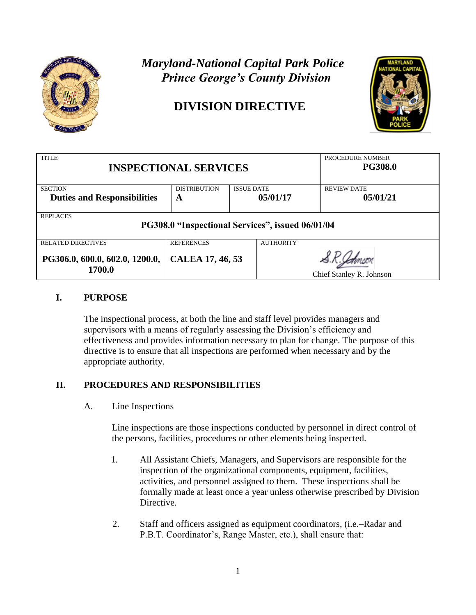

# *Maryland-National Capital Park Police Prince George's County Division*

# **DIVISION DIRECTIVE**



| <b>TITLE</b>                                     |                     |                   |                  | PROCEDURE NUMBER         |
|--------------------------------------------------|---------------------|-------------------|------------------|--------------------------|
| <b>INSPECTIONAL SERVICES</b>                     |                     |                   | <b>PG308.0</b>   |                          |
|                                                  |                     |                   |                  |                          |
| <b>SECTION</b>                                   | <b>DISTRIBUTION</b> | <b>ISSUE DATE</b> |                  | <b>REVIEW DATE</b>       |
| <b>Duties and Responsibilities</b>               | A                   |                   | 05/01/17         | 05/01/21                 |
|                                                  |                     |                   |                  |                          |
| <b>REPLACES</b>                                  |                     |                   |                  |                          |
| PG308.0 "Inspectional Services", issued 06/01/04 |                     |                   |                  |                          |
|                                                  |                     |                   |                  |                          |
| <b>RELATED DIRECTIVES</b>                        | <b>REFERENCES</b>   |                   | <b>AUTHORITY</b> |                          |
|                                                  |                     |                   |                  |                          |
| PG306.0, 600.0, 602.0, 1200.0,                   | CALEA 17, 46, 53    |                   |                  |                          |
| 1700.0                                           |                     |                   |                  |                          |
|                                                  |                     |                   |                  | Chief Stanley R. Johnson |

### **I. PURPOSE**

The inspectional process, at both the line and staff level provides managers and supervisors with a means of regularly assessing the Division's efficiency and effectiveness and provides information necessary to plan for change. The purpose of this directive is to ensure that all inspections are performed when necessary and by the appropriate authority.

## **II. PROCEDURES AND RESPONSIBILITIES**

A. Line Inspections

Line inspections are those inspections conducted by personnel in direct control of the persons, facilities, procedures or other elements being inspected.

- 1. All Assistant Chiefs, Managers, and Supervisors are responsible for the inspection of the organizational components, equipment, facilities, activities, and personnel assigned to them. These inspections shall be formally made at least once a year unless otherwise prescribed by Division Directive.
- 2. Staff and officers assigned as equipment coordinators, (i.e.–Radar and P.B.T. Coordinator's, Range Master, etc.), shall ensure that: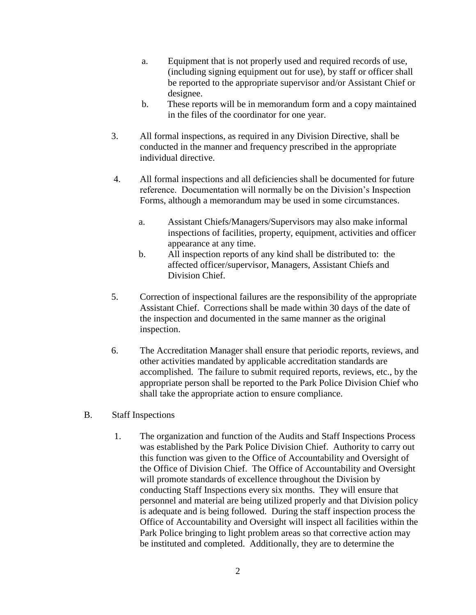- a. Equipment that is not properly used and required records of use, (including signing equipment out for use), by staff or officer shall be reported to the appropriate supervisor and/or Assistant Chief or designee.
- b. These reports will be in memorandum form and a copy maintained in the files of the coordinator for one year.
- 3. All formal inspections, as required in any Division Directive, shall be conducted in the manner and frequency prescribed in the appropriate individual directive.
- 4. All formal inspections and all deficiencies shall be documented for future reference. Documentation will normally be on the Division's Inspection Forms, although a memorandum may be used in some circumstances.
	- a. Assistant Chiefs/Managers/Supervisors may also make informal inspections of facilities, property, equipment, activities and officer appearance at any time.
	- b. All inspection reports of any kind shall be distributed to: the affected officer/supervisor, Managers, Assistant Chiefs and Division Chief.
- 5. Correction of inspectional failures are the responsibility of the appropriate Assistant Chief. Corrections shall be made within 30 days of the date of the inspection and documented in the same manner as the original inspection.
- 6. The Accreditation Manager shall ensure that periodic reports, reviews, and other activities mandated by applicable accreditation standards are accomplished. The failure to submit required reports, reviews, etc., by the appropriate person shall be reported to the Park Police Division Chief who shall take the appropriate action to ensure compliance.
- B. Staff Inspections
	- 1. The organization and function of the Audits and Staff Inspections Process was established by the Park Police Division Chief. Authority to carry out this function was given to the Office of Accountability and Oversight of the Office of Division Chief. The Office of Accountability and Oversight will promote standards of excellence throughout the Division by conducting Staff Inspections every six months. They will ensure that personnel and material are being utilized properly and that Division policy is adequate and is being followed. During the staff inspection process the Office of Accountability and Oversight will inspect all facilities within the Park Police bringing to light problem areas so that corrective action may be instituted and completed. Additionally, they are to determine the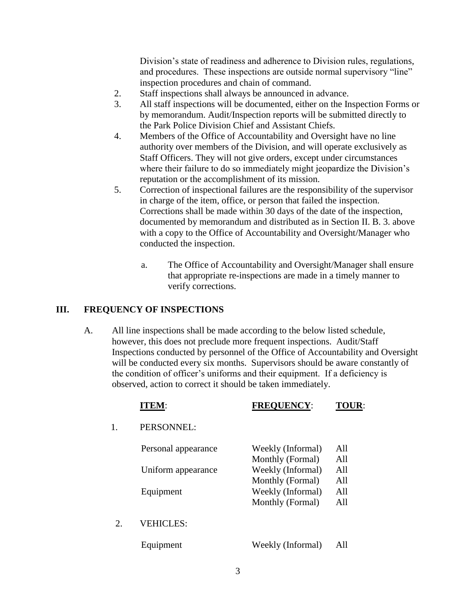Division's state of readiness and adherence to Division rules, regulations, and procedures. These inspections are outside normal supervisory "line" inspection procedures and chain of command.

- 2. Staff inspections shall always be announced in advance.
- 3. All staff inspections will be documented, either on the Inspection Forms or by memorandum. Audit/Inspection reports will be submitted directly to the Park Police Division Chief and Assistant Chiefs.
- 4. Members of the Office of Accountability and Oversight have no line authority over members of the Division, and will operate exclusively as Staff Officers. They will not give orders, except under circumstances where their failure to do so immediately might jeopardize the Division's reputation or the accomplishment of its mission.
- 5. Correction of inspectional failures are the responsibility of the supervisor in charge of the item, office, or person that failed the inspection. Corrections shall be made within 30 days of the date of the inspection, documented by memorandum and distributed as in Section II. B. 3. above with a copy to the Office of Accountability and Oversight/Manager who conducted the inspection.
	- a. The Office of Accountability and Oversight/Manager shall ensure that appropriate re-inspections are made in a timely manner to verify corrections.

#### **III. FREQUENCY OF INSPECTIONS**

A. All line inspections shall be made according to the below listed schedule, however, this does not preclude more frequent inspections. Audit/Staff Inspections conducted by personnel of the Office of Accountability and Oversight will be conducted every six months. Supervisors should be aware constantly of the condition of officer's uniforms and their equipment. If a deficiency is observed, action to correct it should be taken immediately.

|             | <b>ITEM:</b>        | <b>FREQUENCY:</b>                                         | TOU               |
|-------------|---------------------|-----------------------------------------------------------|-------------------|
| 1.          | PERSONNEL:          |                                                           |                   |
|             | Personal appearance | Weekly (Informal)<br>Monthly (Formal)                     | A11<br>A11        |
|             | Uniform appearance  | Weekly (Informal)                                         | All               |
|             | Equipment           | Monthly (Formal)<br>Weekly (Informal)<br>Monthly (Formal) | All<br>A11<br>All |
| $2^{\circ}$ | <b>VEHICLES:</b>    |                                                           |                   |
|             | Equipment           | Weekly (Informal)                                         | All               |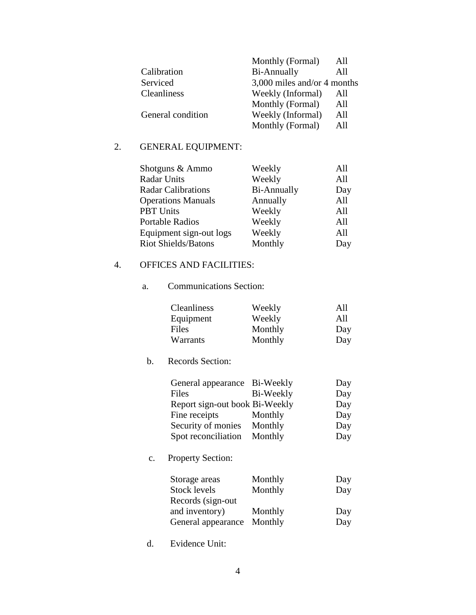|                   | Monthly (Formal)            | All |
|-------------------|-----------------------------|-----|
| Calibration       | Bi-Annually                 | All |
| Serviced          | 3,000 miles and/or 4 months |     |
| Cleanliness       | Weekly (Informal)           | All |
|                   | Monthly (Formal)            | All |
| General condition | Weekly (Informal)           | All |
|                   | Monthly (Formal)            | All |

## 2. GENERAL EQUIPMENT:

| Shotguns & Ammo            | Weekly      | All |
|----------------------------|-------------|-----|
| <b>Radar Units</b>         | Weekly      | All |
| <b>Radar Calibrations</b>  | Bi-Annually | Day |
| <b>Operations Manuals</b>  | Annually    | All |
| <b>PBT</b> Units           | Weekly      | All |
| <b>Portable Radios</b>     | Weekly      | All |
| Equipment sign-out logs    | Weekly      | All |
| <b>Riot Shields/Batons</b> | Monthly     | Day |

## 4. OFFICES AND FACILITIES:

a. Communications Section:

| <b>Cleanliness</b> | Weekly  | All |
|--------------------|---------|-----|
| Equipment          | Weekly  | All |
| Files              | Monthly | Day |
| Warrants           | Monthly | Day |

b. Records Section:

| General appearance Bi-Weekly   |           | Day |
|--------------------------------|-----------|-----|
| Files                          | Bi-Weekly | Day |
| Report sign-out book Bi-Weekly |           | Day |
| Fine receipts                  | Monthly   | Day |
| Security of monies             | Monthly   | Day |
| Spot reconciliation            | Monthly   | Day |

c. Property Section:

| Storage areas      | Monthly | Day |
|--------------------|---------|-----|
| Stock levels       | Monthly | Day |
| Records (sign-out) |         |     |
| and inventory)     | Monthly | Day |
| General appearance | Monthly | Day |

d. Evidence Unit: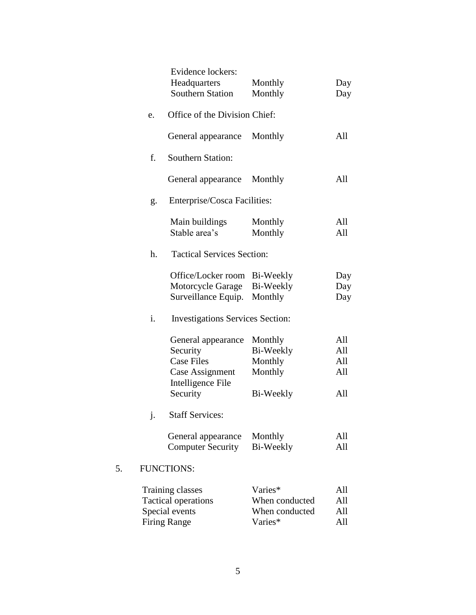|    | Evidence lockers:<br>Headquarters<br><b>Southern Station</b>                                | Monthly<br>Monthly                                     | Day<br>Day               |
|----|---------------------------------------------------------------------------------------------|--------------------------------------------------------|--------------------------|
| e. | Office of the Division Chief:                                                               |                                                        |                          |
|    | General appearance                                                                          | Monthly                                                | All                      |
| f. | <b>Southern Station:</b>                                                                    |                                                        |                          |
|    | General appearance                                                                          | Monthly                                                | All                      |
| g. | Enterprise/Cosca Facilities:                                                                |                                                        |                          |
|    | Main buildings<br>Stable area's                                                             | Monthly<br>Monthly                                     | All<br>All               |
| h. | <b>Tactical Services Section:</b>                                                           |                                                        |                          |
|    | Office/Locker room<br>Motorcycle Garage<br>Surveillance Equip.                              | Bi-Weekly<br>Bi-Weekly<br>Monthly                      | Day<br>Day<br>Day        |
| i. | <b>Investigations Services Section:</b>                                                     |                                                        |                          |
|    | General appearance<br>Security<br><b>Case Files</b><br>Case Assignment<br>Intelligence File | Monthly<br>Bi-Weekly<br>Monthly<br>Monthly             | All<br>All<br>All<br>All |
|    | Security                                                                                    | Bi-Weekly                                              | All                      |
| j. | <b>Staff Services:</b><br>General appearance<br><b>Computer Security</b>                    | Monthly<br>Bi-Weekly                                   | All<br>All               |
|    | <b>FUNCTIONS:</b>                                                                           |                                                        |                          |
|    | Training classes<br><b>Tactical operations</b><br>Special events<br><b>Firing Range</b>     | Varies*<br>When conducted<br>When conducted<br>Varies* | All<br>All<br>All<br>All |

5.